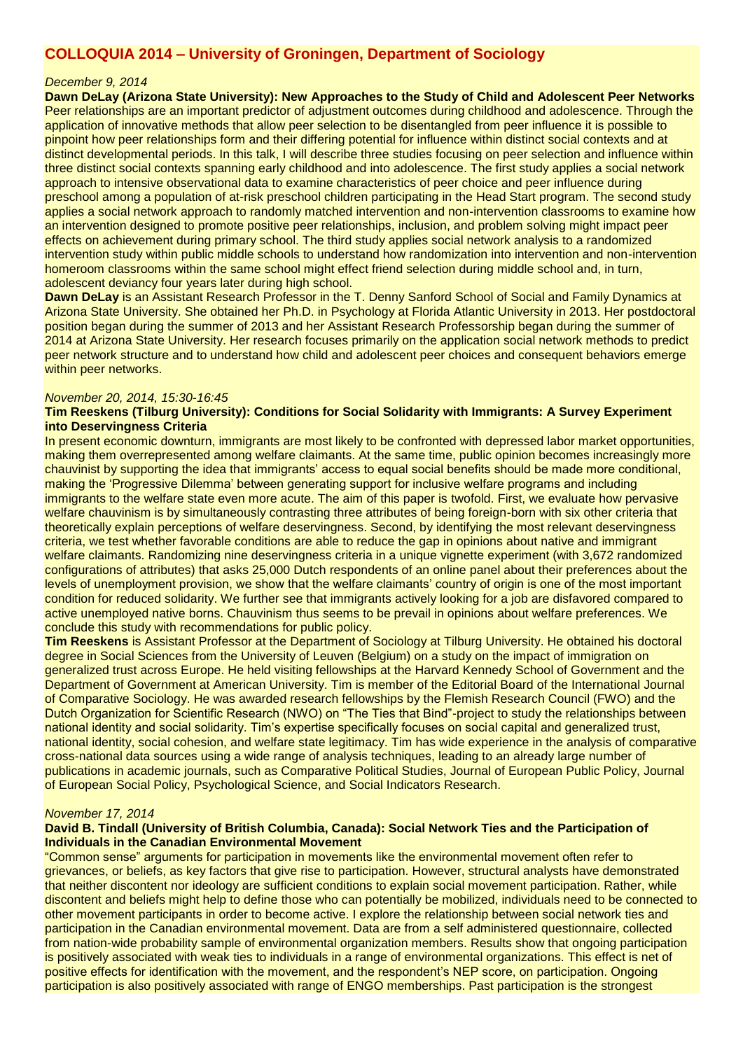# **COLLOQUIA 2014 – University of Groningen, Department of Sociology**

### *December 9, 2014*

**Dawn DeLay (Arizona State University): New Approaches to the Study of Child and Adolescent Peer Networks** Peer relationships are an important predictor of adjustment outcomes during childhood and adolescence. Through the application of innovative methods that allow peer selection to be disentangled from peer influence it is possible to pinpoint how peer relationships form and their differing potential for influence within distinct social contexts and at distinct developmental periods. In this talk, I will describe three studies focusing on peer selection and influence within three distinct social contexts spanning early childhood and into adolescence. The first study applies a social network approach to intensive observational data to examine characteristics of peer choice and peer influence during preschool among a population of at-risk preschool children participating in the Head Start program. The second study applies a social network approach to randomly matched intervention and non-intervention classrooms to examine how an intervention designed to promote positive peer relationships, inclusion, and problem solving might impact peer effects on achievement during primary school. The third study applies social network analysis to a randomized intervention study within public middle schools to understand how randomization into intervention and non-intervention homeroom classrooms within the same school might effect friend selection during middle school and, in turn, adolescent deviancy four years later during high school.

**Dawn DeLay** is an Assistant Research Professor in the T. Denny Sanford School of Social and Family Dynamics at Arizona State University. She obtained her Ph.D. in Psychology at Florida Atlantic University in 2013. Her postdoctoral position began during the summer of 2013 and her Assistant Research Professorship began during the summer of 2014 at Arizona State University. Her research focuses primarily on the application social network methods to predict peer network structure and to understand how child and adolescent peer choices and consequent behaviors emerge within peer networks.

### *November 20, 2014, 15:30-16:45*

# **Tim Reeskens (Tilburg University): Conditions for Social Solidarity with Immigrants: A Survey Experiment into Deservingness Criteria**

In present economic downturn, immigrants are most likely to be confronted with depressed labor market opportunities, making them overrepresented among welfare claimants. At the same time, public opinion becomes increasingly more chauvinist by supporting the idea that immigrants' access to equal social benefits should be made more conditional, making the 'Progressive Dilemma' between generating support for inclusive welfare programs and including immigrants to the welfare state even more acute. The aim of this paper is twofold. First, we evaluate how pervasive welfare chauvinism is by simultaneously contrasting three attributes of being foreign-born with six other criteria that theoretically explain perceptions of welfare deservingness. Second, by identifying the most relevant deservingness criteria, we test whether favorable conditions are able to reduce the gap in opinions about native and immigrant welfare claimants. Randomizing nine deservingness criteria in a unique vignette experiment (with 3,672 randomized configurations of attributes) that asks 25,000 Dutch respondents of an online panel about their preferences about the levels of unemployment provision, we show that the welfare claimants' country of origin is one of the most important condition for reduced solidarity. We further see that immigrants actively looking for a job are disfavored compared to active unemployed native borns. Chauvinism thus seems to be prevail in opinions about welfare preferences. We conclude this study with recommendations for public policy.

**Tim Reeskens** is Assistant Professor at the Department of Sociology at Tilburg University. He obtained his doctoral degree in Social Sciences from the University of Leuven (Belgium) on a study on the impact of immigration on generalized trust across Europe. He held visiting fellowships at the Harvard Kennedy School of Government and the Department of Government at American University. Tim is member of the Editorial Board of the International Journal of Comparative Sociology. He was awarded research fellowships by the Flemish Research Council (FWO) and the Dutch Organization for Scientific Research (NWO) on "The Ties that Bind"-project to study the relationships between national identity and social solidarity. Tim's expertise specifically focuses on social capital and generalized trust, national identity, social cohesion, and welfare state legitimacy. Tim has wide experience in the analysis of comparative cross-national data sources using a wide range of analysis techniques, leading to an already large number of publications in academic journals, such as Comparative Political Studies, Journal of European Public Policy, Journal of European Social Policy, Psychological Science, and Social Indicators Research.

### *November 17, 2014*

# **David B. Tindall (University of British Columbia, Canada): Social Network Ties and the Participation of Individuals in the Canadian Environmental Movement**

"Common sense" arguments for participation in movements like the environmental movement often refer to grievances, or beliefs, as key factors that give rise to participation. However, structural analysts have demonstrated that neither discontent nor ideology are sufficient conditions to explain social movement participation. Rather, while discontent and beliefs might help to define those who can potentially be mobilized, individuals need to be connected to other movement participants in order to become active. I explore the relationship between social network ties and participation in the Canadian environmental movement. Data are from a self administered questionnaire, collected from nation-wide probability sample of environmental organization members. Results show that ongoing participation is positively associated with weak ties to individuals in a range of environmental organizations. This effect is net of positive effects for identification with the movement, and the respondent's NEP score, on participation. Ongoing participation is also positively associated with range of ENGO memberships. Past participation is the strongest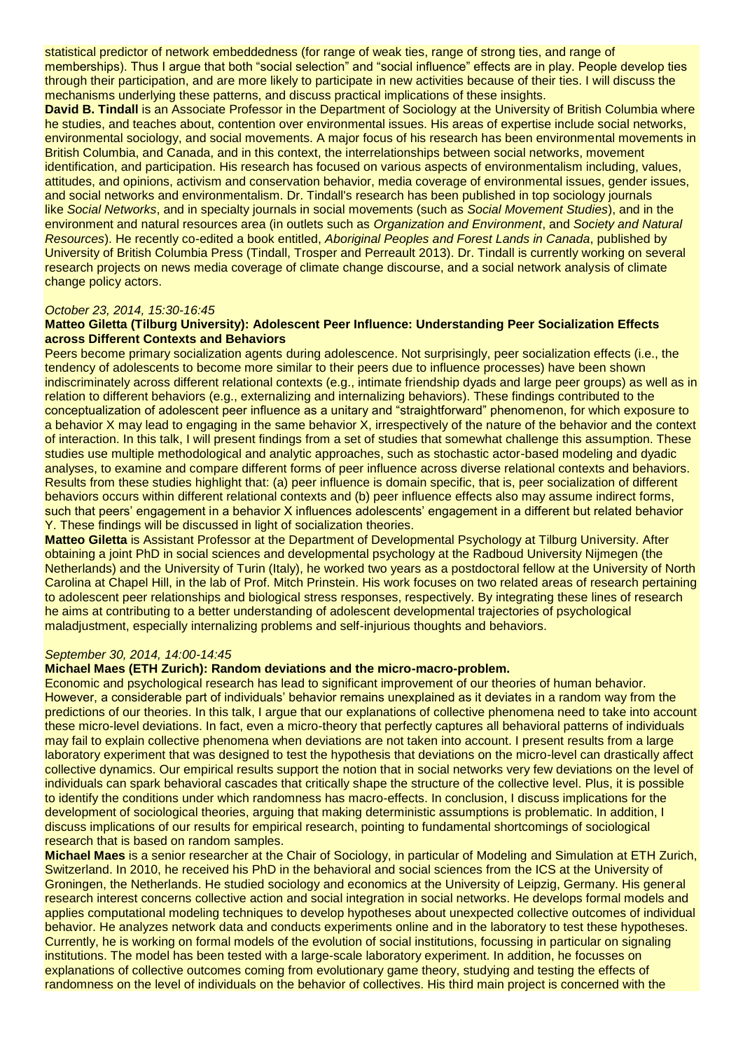statistical predictor of network embeddedness (for range of weak ties, range of strong ties, and range of memberships). Thus I argue that both "social selection" and "social influence" effects are in play. People develop ties through their participation, and are more likely to participate in new activities because of their ties. I will discuss the mechanisms underlying these patterns, and discuss practical implications of these insights.

**David B. Tindall** is an Associate Professor in the Department of Sociology at the University of British Columbia where he studies, and teaches about, contention over environmental issues. His areas of expertise include social networks, environmental sociology, and social movements. A major focus of his research has been environmental movements in British Columbia, and Canada, and in this context, the interrelationships between social networks, movement identification, and participation. His research has focused on various aspects of environmentalism including, values, attitudes, and opinions, activism and conservation behavior, media coverage of environmental issues, gender issues, and social networks and environmentalism. Dr. Tindall's research has been published in top sociology journals like *Social Networks*, and in specialty journals in social movements (such as *Social Movement Studies*), and in the environment and natural resources area (in outlets such as *Organization and Environment*, and *Society and Natural Resources*). He recently co-edited a book entitled, *Aboriginal Peoples and Forest Lands in Canada*, published by University of British Columbia Press (Tindall, Trosper and Perreault 2013). Dr. Tindall is currently working on several research projects on news media coverage of climate change discourse, and a social network analysis of climate change policy actors.

# *October 23, 2014, 15:30-16:45*

### **Matteo Giletta (Tilburg University): Adolescent Peer Influence: Understanding Peer Socialization Effects across Different Contexts and Behaviors**

Peers become primary socialization agents during adolescence. Not surprisingly, peer socialization effects (i.e., the tendency of adolescents to become more similar to their peers due to influence processes) have been shown indiscriminately across different relational contexts (e.g., intimate friendship dyads and large peer groups) as well as in relation to different behaviors (e.g., externalizing and internalizing behaviors). These findings contributed to the conceptualization of adolescent peer influence as a unitary and "straightforward" phenomenon, for which exposure to a behavior X may lead to engaging in the same behavior X, irrespectively of the nature of the behavior and the context of interaction. In this talk, I will present findings from a set of studies that somewhat challenge this assumption. These studies use multiple methodological and analytic approaches, such as stochastic actor-based modeling and dyadic analyses, to examine and compare different forms of peer influence across diverse relational contexts and behaviors. Results from these studies highlight that: (a) peer influence is domain specific, that is, peer socialization of different behaviors occurs within different relational contexts and (b) peer influence effects also may assume indirect forms, such that peers' engagement in a behavior X influences adolescents' engagement in a different but related behavior Y. These findings will be discussed in light of socialization theories.

**Matteo Giletta** is Assistant Professor at the Department of Developmental Psychology at Tilburg University. After obtaining a joint PhD in social sciences and developmental psychology at the Radboud University Nijmegen (the Netherlands) and the University of Turin (Italy), he worked two years as a postdoctoral fellow at the University of North Carolina at Chapel Hill, in the lab of Prof. Mitch Prinstein. His work focuses on two related areas of research pertaining to adolescent peer relationships and biological stress responses, respectively. By integrating these lines of research he aims at contributing to a better understanding of adolescent developmental trajectories of psychological maladjustment, especially internalizing problems and self-injurious thoughts and behaviors.

### *September 30, 2014, 14:00-14:45*

### **Michael Maes (ETH Zurich): Random deviations and the micro-macro-problem.**

Economic and psychological research has lead to significant improvement of our theories of human behavior. However, a considerable part of individuals' behavior remains unexplained as it deviates in a random way from the predictions of our theories. In this talk, I argue that our explanations of collective phenomena need to take into account these micro-level deviations. In fact, even a micro-theory that perfectly captures all behavioral patterns of individuals may fail to explain collective phenomena when deviations are not taken into account. I present results from a large laboratory experiment that was designed to test the hypothesis that deviations on the micro-level can drastically affect collective dynamics. Our empirical results support the notion that in social networks very few deviations on the level of individuals can spark behavioral cascades that critically shape the structure of the collective level. Plus, it is possible to identify the conditions under which randomness has macro-effects. In conclusion, I discuss implications for the development of sociological theories, arguing that making deterministic assumptions is problematic. In addition, I discuss implications of our results for empirical research, pointing to fundamental shortcomings of sociological research that is based on random samples.

**Michael Maes** is a senior researcher at the Chair of Sociology, in particular of Modeling and Simulation at ETH Zurich, Switzerland. In 2010, he received his PhD in the behavioral and social sciences from the ICS at the University of Groningen, the Netherlands. He studied sociology and economics at the University of Leipzig, Germany. His general research interest concerns collective action and social integration in social networks. He develops formal models and applies computational modeling techniques to develop hypotheses about unexpected collective outcomes of individual behavior. He analyzes network data and conducts experiments online and in the laboratory to test these hypotheses. Currently, he is working on formal models of the evolution of social institutions, focussing in particular on signaling institutions. The model has been tested with a large-scale laboratory experiment. In addition, he focusses on explanations of collective outcomes coming from evolutionary game theory, studying and testing the effects of randomness on the level of individuals on the behavior of collectives. His third main project is concerned with the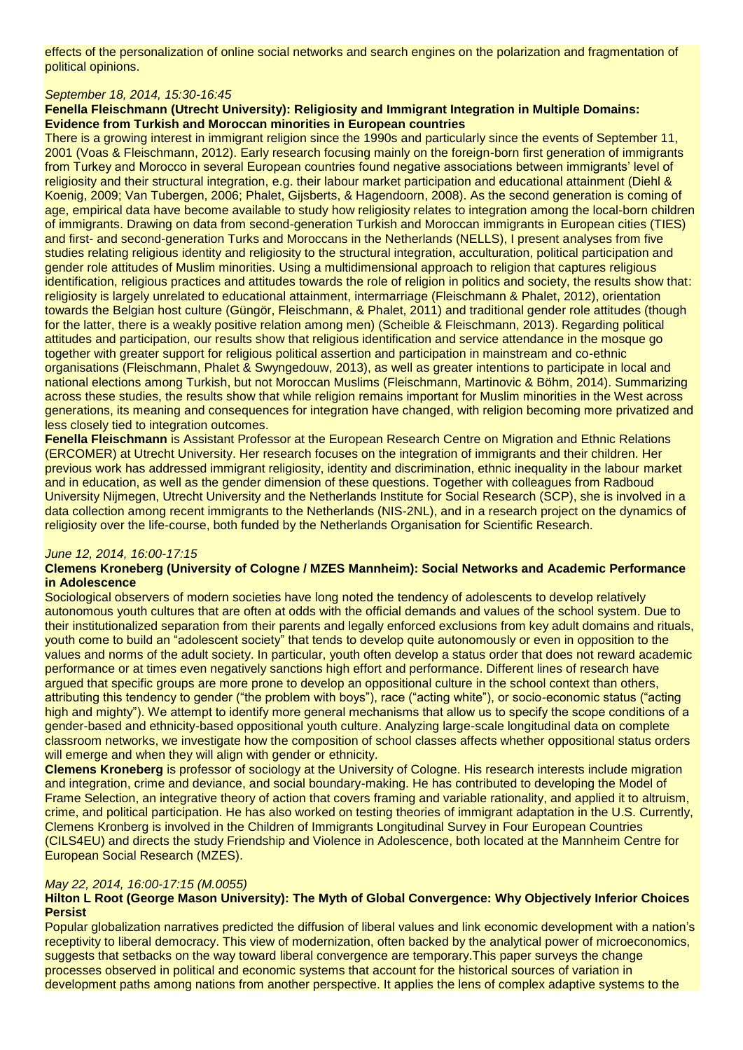effects of the personalization of online social networks and search engines on the polarization and fragmentation of political opinions.

# *September 18, 2014, 15:30-16:45*

# **Fenella Fleischmann (Utrecht University): Religiosity and Immigrant Integration in Multiple Domains: Evidence from Turkish and Moroccan minorities in European countries**

There is a growing interest in immigrant religion since the 1990s and particularly since the events of September 11, 2001 (Voas & Fleischmann, 2012). Early research focusing mainly on the foreign-born first generation of immigrants from Turkey and Morocco in several European countries found negative associations between immigrants' level of religiosity and their structural integration, e.g. their labour market participation and educational attainment (Diehl & Koenig, 2009; Van Tubergen, 2006; Phalet, Gijsberts, & Hagendoorn, 2008). As the second generation is coming of age, empirical data have become available to study how religiosity relates to integration among the local-born children of immigrants. Drawing on data from second-generation Turkish and Moroccan immigrants in European cities (TIES) and first- and second-generation Turks and Moroccans in the Netherlands (NELLS), I present analyses from five studies relating religious identity and religiosity to the structural integration, acculturation, political participation and gender role attitudes of Muslim minorities. Using a multidimensional approach to religion that captures religious identification, religious practices and attitudes towards the role of religion in politics and society, the results show that: religiosity is largely unrelated to educational attainment, intermarriage (Fleischmann & Phalet, 2012), orientation towards the Belgian host culture (Güngör, Fleischmann, & Phalet, 2011) and traditional gender role attitudes (though for the latter, there is a weakly positive relation among men) (Scheible & Fleischmann, 2013). Regarding political attitudes and participation, our results show that religious identification and service attendance in the mosque go together with greater support for religious political assertion and participation in mainstream and co-ethnic organisations (Fleischmann, Phalet & Swyngedouw, 2013), as well as greater intentions to participate in local and national elections among Turkish, but not Moroccan Muslims (Fleischmann, Martinovic & Böhm, 2014). Summarizing across these studies, the results show that while religion remains important for Muslim minorities in the West across generations, its meaning and consequences for integration have changed, with religion becoming more privatized and less closely tied to integration outcomes.

**Fenella Fleischmann** is Assistant Professor at the European Research Centre on Migration and Ethnic Relations (ERCOMER) at Utrecht University. Her research focuses on the integration of immigrants and their children. Her previous work has addressed immigrant religiosity, identity and discrimination, ethnic inequality in the labour market and in education, as well as the gender dimension of these questions. Together with colleagues from Radboud University Nijmegen, Utrecht University and the Netherlands Institute for Social Research (SCP), she is involved in a data collection among recent immigrants to the Netherlands (NIS-2NL), and in a research project on the dynamics of religiosity over the life-course, both funded by the Netherlands Organisation for Scientific Research.

# *June 12, 2014, 16:00-17:15*

# **Clemens Kroneberg (University of Cologne / MZES Mannheim): Social Networks and Academic Performance in Adolescence**

Sociological observers of modern societies have long noted the tendency of adolescents to develop relatively autonomous youth cultures that are often at odds with the official demands and values of the school system. Due to their institutionalized separation from their parents and legally enforced exclusions from key adult domains and rituals, youth come to build an "adolescent society" that tends to develop quite autonomously or even in opposition to the values and norms of the adult society. In particular, youth often develop a status order that does not reward academic performance or at times even negatively sanctions high effort and performance. Different lines of research have argued that specific groups are more prone to develop an oppositional culture in the school context than others, attributing this tendency to gender ("the problem with boys"), race ("acting white"), or socio-economic status ("acting high and mighty"). We attempt to identify more general mechanisms that allow us to specify the scope conditions of a gender-based and ethnicity-based oppositional youth culture. Analyzing large-scale longitudinal data on complete classroom networks, we investigate how the composition of school classes affects whether oppositional status orders will emerge and when they will align with gender or ethnicity.

**Clemens Kroneberg** is professor of sociology at the University of Cologne. His research interests include migration and integration, crime and deviance, and social boundary-making. He has contributed to developing the Model of Frame Selection, an integrative theory of action that covers framing and variable rationality, and applied it to altruism, crime, and political participation. He has also worked on testing theories of immigrant adaptation in the U.S. Currently, Clemens Kronberg is involved in the Children of Immigrants Longitudinal Survey in Four European Countries (CILS4EU) and directs the study Friendship and Violence in Adolescence, both located at the Mannheim Centre for European Social Research (MZES).

# *May 22, 2014, 16:00-17:15 (M.0055)*

# **Hilton L Root (George Mason University): The Myth of Global Convergence: Why Objectively Inferior Choices Persist**

Popular globalization narratives predicted the diffusion of liberal values and link economic development with a nation's receptivity to liberal democracy. This view of modernization, often backed by the analytical power of microeconomics, suggests that setbacks on the way toward liberal convergence are temporary.This paper surveys the change processes observed in political and economic systems that account for the historical sources of variation in development paths among nations from another perspective. It applies the lens of complex adaptive systems to the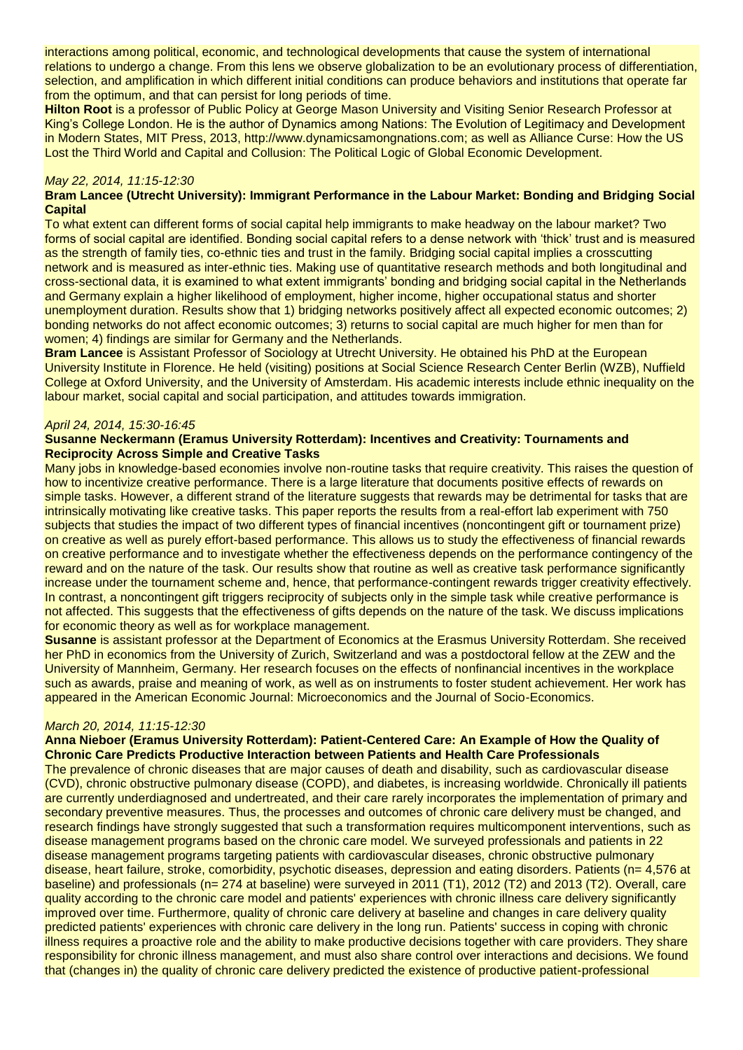interactions among political, economic, and technological developments that cause the system of international relations to undergo a change. From this lens we observe globalization to be an evolutionary process of differentiation, selection, and amplification in which different initial conditions can produce behaviors and institutions that operate far from the optimum, and that can persist for long periods of time.

**Hilton Root** is a professor of Public Policy at George Mason University and Visiting Senior Research Professor at King's College London. He is the author of Dynamics among Nations: The Evolution of Legitimacy and Development in Modern States, MIT Press, 2013, http://www.dynamicsamongnations.com; as well as Alliance Curse: How the US Lost the Third World and Capital and Collusion: The Political Logic of Global Economic Development.

# *May 22, 2014, 11:15-12:30*

# **Bram Lancee (Utrecht University): Immigrant Performance in the Labour Market: Bonding and Bridging Social Capital**

To what extent can different forms of social capital help immigrants to make headway on the labour market? Two forms of social capital are identified. Bonding social capital refers to a dense network with 'thick' trust and is measured as the strength of family ties, co-ethnic ties and trust in the family. Bridging social capital implies a crosscutting network and is measured as inter-ethnic ties. Making use of quantitative research methods and both longitudinal and cross-sectional data, it is examined to what extent immigrants' bonding and bridging social capital in the Netherlands and Germany explain a higher likelihood of employment, higher income, higher occupational status and shorter unemployment duration. Results show that 1) bridging networks positively affect all expected economic outcomes; 2) bonding networks do not affect economic outcomes; 3) returns to social capital are much higher for men than for women; 4) findings are similar for Germany and the Netherlands.

**Bram Lancee** is Assistant Professor of Sociology at Utrecht University. He obtained his PhD at the European University Institute in Florence. He held (visiting) positions at Social Science Research Center Berlin (WZB), Nuffield College at Oxford University, and the University of Amsterdam. His academic interests include ethnic inequality on the labour market, social capital and social participation, and attitudes towards immigration.

### *April 24, 2014, 15:30-16:45*

# **Susanne Neckermann (Eramus University Rotterdam): Incentives and Creativity: Tournaments and Reciprocity Across Simple and Creative Tasks**

Many jobs in knowledge-based economies involve non-routine tasks that require creativity. This raises the question of how to incentivize creative performance. There is a large literature that documents positive effects of rewards on simple tasks. However, a different strand of the literature suggests that rewards may be detrimental for tasks that are intrinsically motivating like creative tasks. This paper reports the results from a real-effort lab experiment with 750 subjects that studies the impact of two different types of financial incentives (noncontingent gift or tournament prize) on creative as well as purely effort-based performance. This allows us to study the effectiveness of financial rewards on creative performance and to investigate whether the effectiveness depends on the performance contingency of the reward and on the nature of the task. Our results show that routine as well as creative task performance significantly increase under the tournament scheme and, hence, that performance-contingent rewards trigger creativity effectively. In contrast, a noncontingent gift triggers reciprocity of subjects only in the simple task while creative performance is not affected. This suggests that the effectiveness of gifts depends on the nature of the task. We discuss implications for economic theory as well as for workplace management.

**Susanne** is assistant professor at the Department of Economics at the Erasmus University Rotterdam. She received her PhD in economics from the University of Zurich, Switzerland and was a postdoctoral fellow at the ZEW and the University of Mannheim, Germany. Her research focuses on the effects of nonfinancial incentives in the workplace such as awards, praise and meaning of work, as well as on instruments to foster student achievement. Her work has appeared in the American Economic Journal: Microeconomics and the Journal of Socio-Economics.

#### *March 20, 2014, 11:15-12:30*

# **Anna Nieboer (Eramus University Rotterdam): Patient-Centered Care: An Example of How the Quality of Chronic Care Predicts Productive Interaction between Patients and Health Care Professionals**

The prevalence of chronic diseases that are major causes of death and disability, such as cardiovascular disease (CVD), chronic obstructive pulmonary disease (COPD), and diabetes, is increasing worldwide. Chronically ill patients are currently underdiagnosed and undertreated, and their care rarely incorporates the implementation of primary and secondary preventive measures. Thus, the processes and outcomes of chronic care delivery must be changed, and research findings have strongly suggested that such a transformation requires multicomponent interventions, such as disease management programs based on the chronic care model. We surveyed professionals and patients in 22 disease management programs targeting patients with cardiovascular diseases, chronic obstructive pulmonary disease, heart failure, stroke, comorbidity, psychotic diseases, depression and eating disorders. Patients (n= 4,576 at baseline) and professionals (n= 274 at baseline) were surveyed in 2011 (T1), 2012 (T2) and 2013 (T2). Overall, care quality according to the chronic care model and patients' experiences with chronic illness care delivery significantly improved over time. Furthermore, quality of chronic care delivery at baseline and changes in care delivery quality predicted patients' experiences with chronic care delivery in the long run. Patients' success in coping with chronic illness requires a proactive role and the ability to make productive decisions together with care providers. They share responsibility for chronic illness management, and must also share control over interactions and decisions. We found that (changes in) the quality of chronic care delivery predicted the existence of productive patient-professional